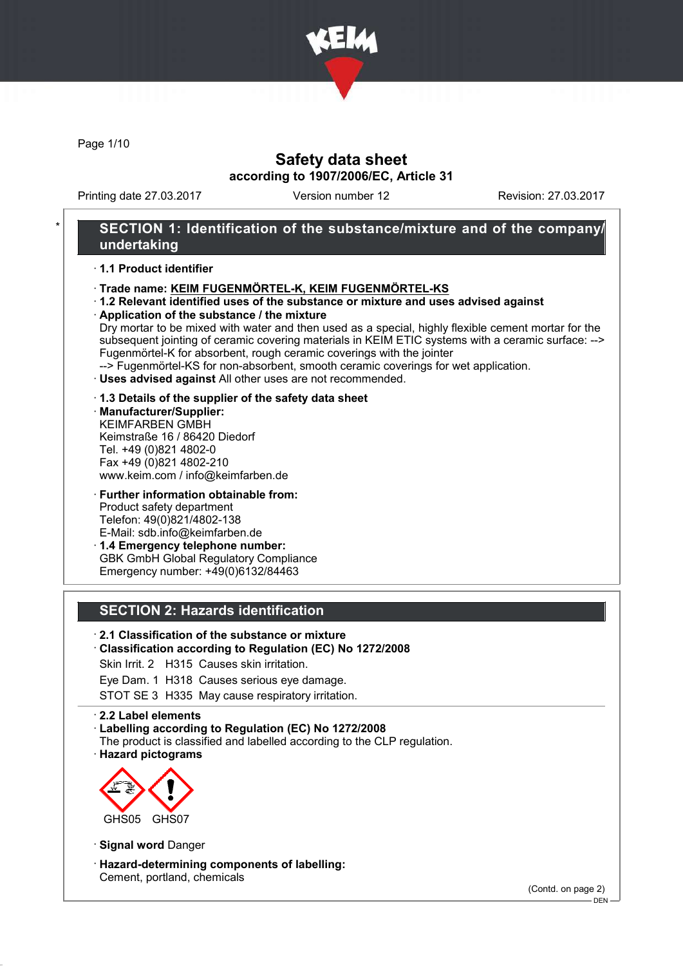

Page 1/10

## Safety data sheet according to 1907/2006/EC, Article 31

Printing date 27.03.2017 Version number 12 Revision: 27.03.2017

## SECTION 1: Identification of the substance/mixture and of the company/ undertaking

#### · 1.1 Product identifier

- · Trade name: KEIM FUGENMÖRTEL-K, KEIM FUGENMÖRTEL-KS
- · 1.2 Relevant identified uses of the substance or mixture and uses advised against
- · Application of the substance / the mixture

Dry mortar to be mixed with water and then used as a special, highly flexible cement mortar for the subsequent jointing of ceramic covering materials in KEIM ETIC systems with a ceramic surface: --> Fugenmörtel-K for absorbent, rough ceramic coverings with the jointer

--> Fugenmörtel-KS for non-absorbent, smooth ceramic coverings for wet application.

- · Uses advised against All other uses are not recommended.
- · 1.3 Details of the supplier of the safety data sheet
- · Manufacturer/Supplier: KEIMFARBEN GMBH Keimstraße 16 / 86420 Diedorf Tel. +49 (0)821 4802-0 Fax +49 (0)821 4802-210 www.keim.com / info@keimfarben.de
- · Further information obtainable from: Product safety department Telefon: 49(0)821/4802-138 E-Mail: sdb.info@keimfarben.de · 1.4 Emergency telephone number:
- GBK GmbH Global Regulatory Compliance Emergency number: +49(0)6132/84463

## SECTION 2: Hazards identification

### · 2.1 Classification of the substance or mixture

#### · Classification according to Regulation (EC) No 1272/2008

Skin Irrit. 2 H315 Causes skin irritation.

Eye Dam. 1 H318 Causes serious eye damage.

STOT SE 3 H335 May cause respiratory irritation.

#### · 2.2 Label elements

- · Labelling according to Regulation (EC) No 1272/2008
- The product is classified and labelled according to the CLP regulation.
- · Hazard pictograms



· Signal word Danger

· Hazard-determining components of labelling: Cement, portland, chemicals

(Contd. on page 2)

 $-$  DEN -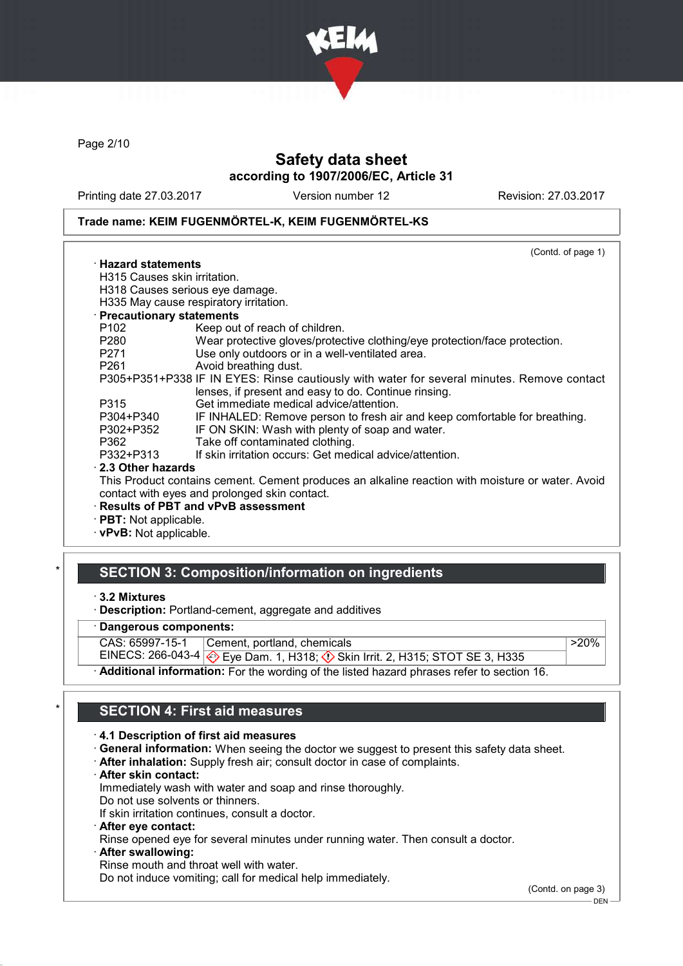

Page 2/10

# Safety data sheet according to 1907/2006/EC, Article 31

Printing date 27.03.2017 Version number 12 Revision: 27.03.2017

#### Trade name: KEIM FUGENMÖRTEL-K, KEIM FUGENMÖRTEL-KS

| P305+P351+P338 IF IN EYES: Rinse cautiously with water for several minutes. Remove contact       |
|--------------------------------------------------------------------------------------------------|
|                                                                                                  |
|                                                                                                  |
| IF INHALED: Remove person to fresh air and keep comfortable for breathing.                       |
|                                                                                                  |
|                                                                                                  |
|                                                                                                  |
|                                                                                                  |
| This Product contains cement. Cement produces an alkaline reaction with moisture or water. Avoid |
|                                                                                                  |
|                                                                                                  |
|                                                                                                  |
|                                                                                                  |

· vPvB: Not applicable.

### **SECTION 3: Composition/information on ingredients**

- Dangerous components:
- CAS: 65997-15-1 Cement, portland, chemicals
- EINECS: 266-043-4 Eye Dam. 1, H318; Skin Irrit. 2, H315; STOT SE 3, H335

Additional information: For the wording of the listed hazard phrases refer to section 16.

## **SECTION 4: First aid measures**

#### · 4.1 Description of first aid measures

- · General information: When seeing the doctor we suggest to present this safety data sheet.
- · After inhalation: Supply fresh air; consult doctor in case of complaints.
- · After skin contact:

Immediately wash with water and soap and rinse thoroughly.

Do not use solvents or thinners.

If skin irritation continues, consult a doctor.

· After eye contact:

Rinse opened eye for several minutes under running water. Then consult a doctor.

After swallowing:

Rinse mouth and throat well with water.

Do not induce vomiting; call for medical help immediately.

(Contd. on page 3)

 $>20%$ 

<sup>·</sup> 3.2 Mixtures

<sup>·</sup> Description: Portland-cement, aggregate and additives

<sup>-</sup> DEN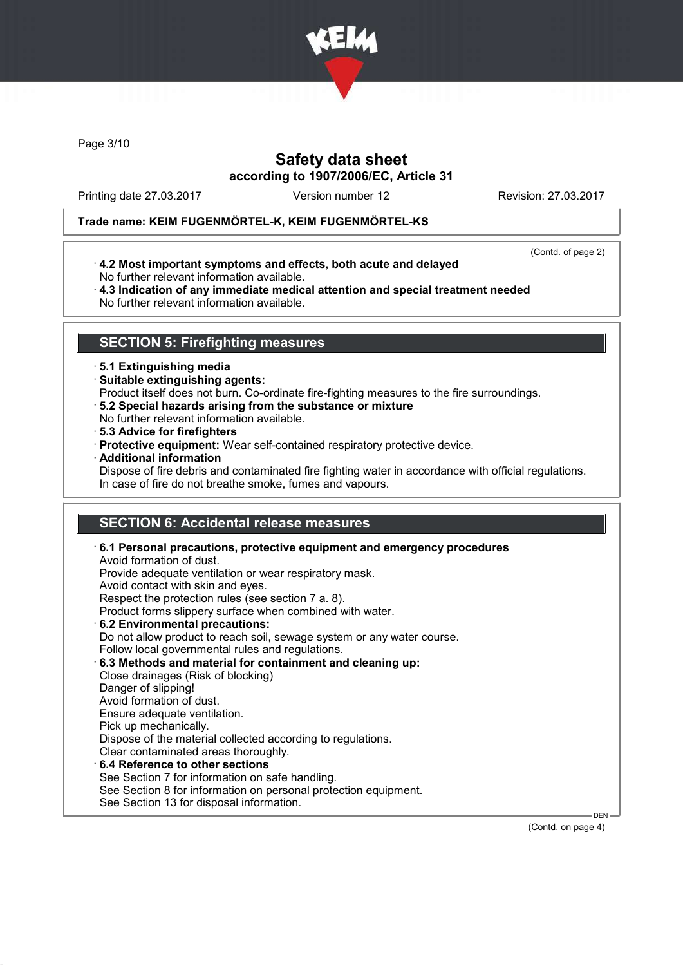

Page 3/10

# Safety data sheet according to 1907/2006/EC, Article 31

Printing date 27.03.2017 Version number 12 Revision: 27.03.2017

### Trade name: KEIM FUGENMÖRTEL-K, KEIM FUGENMÖRTEL-KS

(Contd. of page 2)

- · 4.2 Most important symptoms and effects, both acute and delayed No further relevant information available.
- · 4.3 Indication of any immediate medical attention and special treatment needed No further relevant information available.

## SECTION 5: Firefighting measures

#### · 5.1 Extinguishing media

- · Suitable extinguishing agents:
- Product itself does not burn. Co-ordinate fire-fighting measures to the fire surroundings.
- · 5.2 Special hazards arising from the substance or mixture
- No further relevant information available.
- · 5.3 Advice for firefighters
- · Protective equipment: Wear self-contained respiratory protective device.
- · Additional information

Dispose of fire debris and contaminated fire fighting water in accordance with official regulations. In case of fire do not breathe smoke, fumes and vapours.

# SECTION 6: Accidental release measures

| Do not allow product to reach soil, sewage system or any water course.<br>Follow local governmental rules and regulations.<br>6.3 Methods and material for containment and cleaning up:<br>Close drainages (Risk of blocking)<br>Danger of slipping!<br>Avoid formation of dust.<br>Ensure adequate ventilation. |         |
|------------------------------------------------------------------------------------------------------------------------------------------------------------------------------------------------------------------------------------------------------------------------------------------------------------------|---------|
|                                                                                                                                                                                                                                                                                                                  |         |
| Pick up mechanically.<br>Dispose of the material collected according to regulations.                                                                                                                                                                                                                             |         |
| Clear contaminated areas thoroughly.                                                                                                                                                                                                                                                                             |         |
| $\cdot$ 6.4 Reference to other sections<br>See Section 7 for information on safe handling.                                                                                                                                                                                                                       |         |
| See Section 8 for information on personal protection equipment.                                                                                                                                                                                                                                                  |         |
| See Section 13 for disposal information.                                                                                                                                                                                                                                                                         | $DEN$ – |

(Contd. on page 4)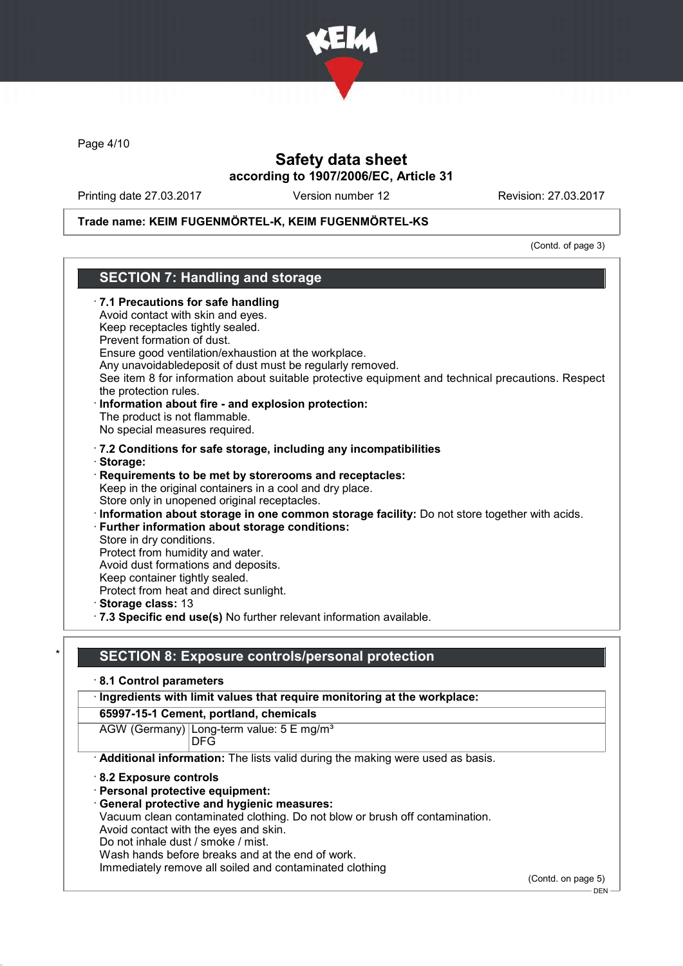

Page 4/10

## Safety data sheet according to 1907/2006/EC, Article 31

Printing date 27.03.2017 Version number 12 Revision: 27.03.2017

### Trade name: KEIM FUGENMÖRTEL-K, KEIM FUGENMÖRTEL-KS

(Contd. of page 3)

# SECTION 7: Handling and storage · 7.1 Precautions for safe handling Avoid contact with skin and eyes. Keep receptacles tightly sealed. Prevent formation of dust. Ensure good ventilation/exhaustion at the workplace. Any unavoidabledeposit of dust must be regularly removed. See item 8 for information about suitable protective equipment and technical precautions. Respect the protection rules. Information about fire - and explosion protection: The product is not flammable. No special measures required. · 7.2 Conditions for safe storage, including any incompatibilities · Storage: · Requirements to be met by storerooms and receptacles: Keep in the original containers in a cool and dry place. Store only in unopened original receptacles. · Information about storage in one common storage facility: Do not store together with acids. Further information about storage conditions: Store in dry conditions. Protect from humidity and water. Avoid dust formations and deposits. Keep container tightly sealed. Protect from heat and direct sunlight. · Storage class: 13 · 7.3 Specific end use(s) No further relevant information available. SECTION 8: Exposure controls/personal protection · 8.1 Control parameters · Ingredients with limit values that require monitoring at the workplace: 65997-15-1 Cement, portland, chemicals AGW (Germany) Long-term value: 5 E mg/m<sup>3</sup> DFG · Additional information: The lists valid during the making were used as basis.

- · 8.2 Exposure controls
- · Personal protective equipment:
- General protective and hygienic measures:

Vacuum clean contaminated clothing. Do not blow or brush off contamination.

Avoid contact with the eyes and skin.

Do not inhale dust / smoke / mist.

Wash hands before breaks and at the end of work.

Immediately remove all soiled and contaminated clothing

(Contd. on page 5)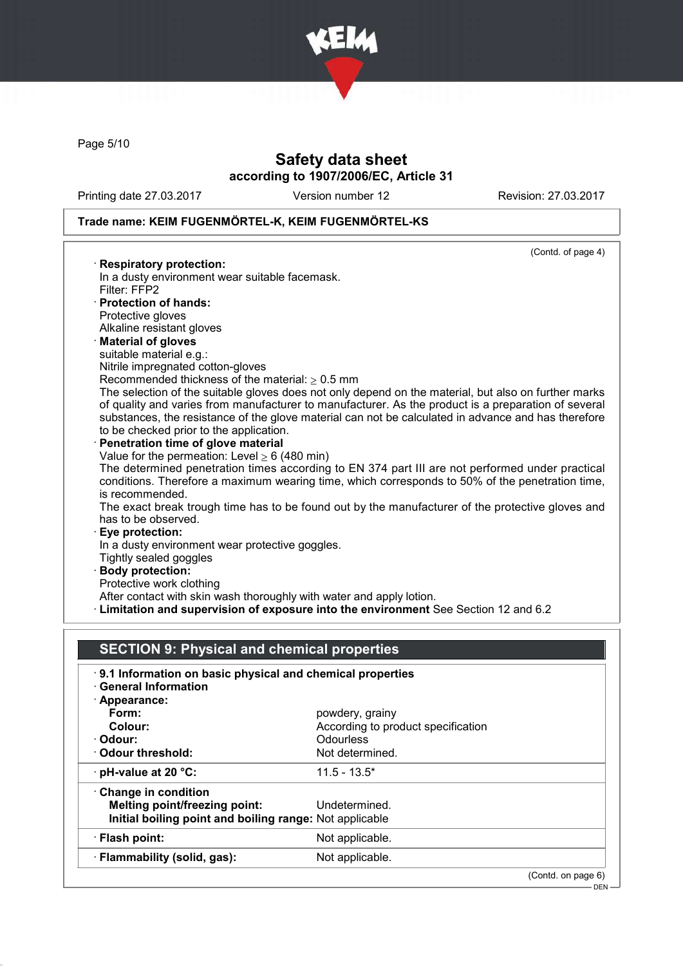

Page 5/10

# Safety data sheet according to 1907/2006/EC, Article 31

Printing date 27.03.2017 Version number 12 Revision: 27.03.2017

# Trade name: KEIM FUGENMÖRTEL-K, KEIM FUGENMÖRTEL-KS

|                                      | (Contd. of page 4)                                                                                                                                                                                                                                                                                                 |
|--------------------------------------|--------------------------------------------------------------------------------------------------------------------------------------------------------------------------------------------------------------------------------------------------------------------------------------------------------------------|
| · Respiratory protection:            |                                                                                                                                                                                                                                                                                                                    |
|                                      | In a dusty environment wear suitable facemask.                                                                                                                                                                                                                                                                     |
| Filter: FFP2                         |                                                                                                                                                                                                                                                                                                                    |
| · Protection of hands:               |                                                                                                                                                                                                                                                                                                                    |
| Protective gloves                    |                                                                                                                                                                                                                                                                                                                    |
| Alkaline resistant gloves            |                                                                                                                                                                                                                                                                                                                    |
| · Material of gloves                 |                                                                                                                                                                                                                                                                                                                    |
| suitable material e.g.:              |                                                                                                                                                                                                                                                                                                                    |
| Nitrile impregnated cotton-gloves    |                                                                                                                                                                                                                                                                                                                    |
|                                      | Recommended thickness of the material: $> 0.5$ mm                                                                                                                                                                                                                                                                  |
|                                      | The selection of the suitable gloves does not only depend on the material, but also on further marks<br>of quality and varies from manufacturer to manufacturer. As the product is a preparation of several<br>substances, the resistance of the glove material can not be calculated in advance and has therefore |
|                                      | to be checked prior to the application.                                                                                                                                                                                                                                                                            |
| · Penetration time of glove material |                                                                                                                                                                                                                                                                                                                    |
|                                      | Value for the permeation: Level $\geq 6$ (480 min)                                                                                                                                                                                                                                                                 |
| is recommended.                      | The determined penetration times according to EN 374 part III are not performed under practical<br>conditions. Therefore a maximum wearing time, which corresponds to 50% of the penetration time,                                                                                                                 |
|                                      | The exact break trough time has to be found out by the manufacturer of the protective gloves and                                                                                                                                                                                                                   |
| has to be observed.                  |                                                                                                                                                                                                                                                                                                                    |
| · Eye protection:                    |                                                                                                                                                                                                                                                                                                                    |
|                                      | In a dusty environment wear protective goggles.                                                                                                                                                                                                                                                                    |
| Tightly sealed goggles               |                                                                                                                                                                                                                                                                                                                    |
| <b>Body protection:</b>              |                                                                                                                                                                                                                                                                                                                    |
| Protective work clothing             |                                                                                                                                                                                                                                                                                                                    |
|                                      | After contact with skin wash thoroughly with water and apply lotion.                                                                                                                                                                                                                                               |
|                                      | · Limitation and supervision of exposure into the environment See Section 12 and 6.2                                                                                                                                                                                                                               |

| <b>SECTION 9: Physical and chemical properties</b>        |                                    |  |  |  |
|-----------------------------------------------------------|------------------------------------|--|--|--|
| 9.1 Information on basic physical and chemical properties |                                    |  |  |  |
| · General Information                                     |                                    |  |  |  |
| $\cdot$ Appearance:                                       |                                    |  |  |  |
| Form:                                                     | powdery, grainy                    |  |  |  |
| Colour:                                                   | According to product specification |  |  |  |
| · Odour:                                                  | <b>Odourless</b>                   |  |  |  |
| Odour threshold:                                          | Not determined.                    |  |  |  |
| $\cdot$ pH-value at 20 $\degree$ C:                       | $11.5 - 13.5^*$                    |  |  |  |
| Change in condition                                       |                                    |  |  |  |
| <b>Melting point/freezing point:</b>                      | Undetermined.                      |  |  |  |
| Initial boiling point and boiling range: Not applicable   |                                    |  |  |  |
| · Flash point:                                            | Not applicable.                    |  |  |  |
| · Flammability (solid, gas):                              | Not applicable.                    |  |  |  |
|                                                           | (Contd. on page 6)                 |  |  |  |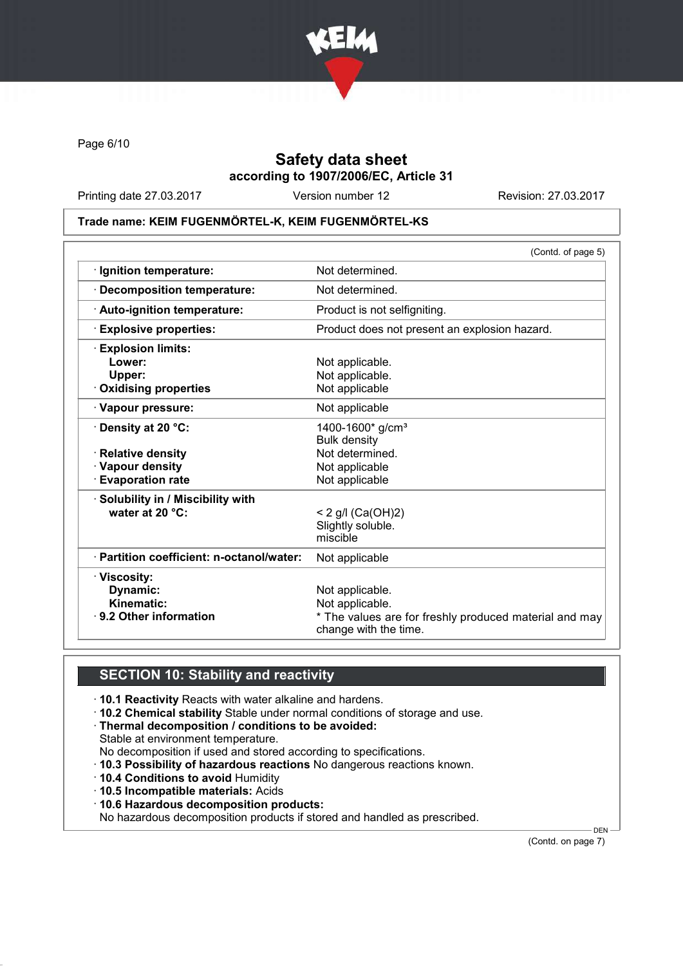

Page 6/10

# Safety data sheet according to 1907/2006/EC, Article 31

Printing date 27.03.2017 Version number 12 Revision: 27.03.2017

#### Trade name: KEIM FUGENMÖRTEL-K, KEIM FUGENMÖRTEL-KS

|                                           | (Contd. of page 5)                                                              |
|-------------------------------------------|---------------------------------------------------------------------------------|
| · Ignition temperature:                   | Not determined.                                                                 |
| <b>Decomposition temperature:</b>         | Not determined.                                                                 |
| · Auto-ignition temperature:              | Product is not selfigniting.                                                    |
| <b>Explosive properties:</b>              | Product does not present an explosion hazard.                                   |
| <b>Explosion limits:</b>                  |                                                                                 |
| Lower:                                    | Not applicable.                                                                 |
| Upper:                                    | Not applicable.                                                                 |
| <b>Oxidising properties</b>               | Not applicable                                                                  |
| · Vapour pressure:                        | Not applicable                                                                  |
| <b>⋅Density at 20 °C:</b>                 | 1400-1600* g/cm <sup>3</sup>                                                    |
|                                           | <b>Bulk density</b>                                                             |
| $\cdot$ Relative density                  | Not determined.                                                                 |
| · Vapour density                          | Not applicable                                                                  |
| <b>Evaporation rate</b>                   | Not applicable                                                                  |
| · Solubility in / Miscibility with        |                                                                                 |
| water at 20 °C:                           | < 2 g/l $(Ca(OH)2)$                                                             |
|                                           | Slightly soluble.                                                               |
|                                           | miscible                                                                        |
| · Partition coefficient: n-octanol/water: | Not applicable                                                                  |
| · Viscosity:                              |                                                                                 |
| Dynamic:                                  | Not applicable.                                                                 |
| Kinematic:                                | Not applicable.                                                                 |
| · 9.2 Other information                   | * The values are for freshly produced material and may<br>change with the time. |
|                                           |                                                                                 |

# SECTION 10: Stability and reactivity

- · 10.1 Reactivity Reacts with water alkaline and hardens.
- · 10.2 Chemical stability Stable under normal conditions of storage and use.
- · Thermal decomposition / conditions to be avoided:
- Stable at environment temperature.
- No decomposition if used and stored according to specifications.
- · 10.3 Possibility of hazardous reactions No dangerous reactions known.
- · 10.4 Conditions to avoid Humidity
- · 10.5 Incompatible materials: Acids
- · 10.6 Hazardous decomposition products:

No hazardous decomposition products if stored and handled as prescribed.

(Contd. on page 7)

DEN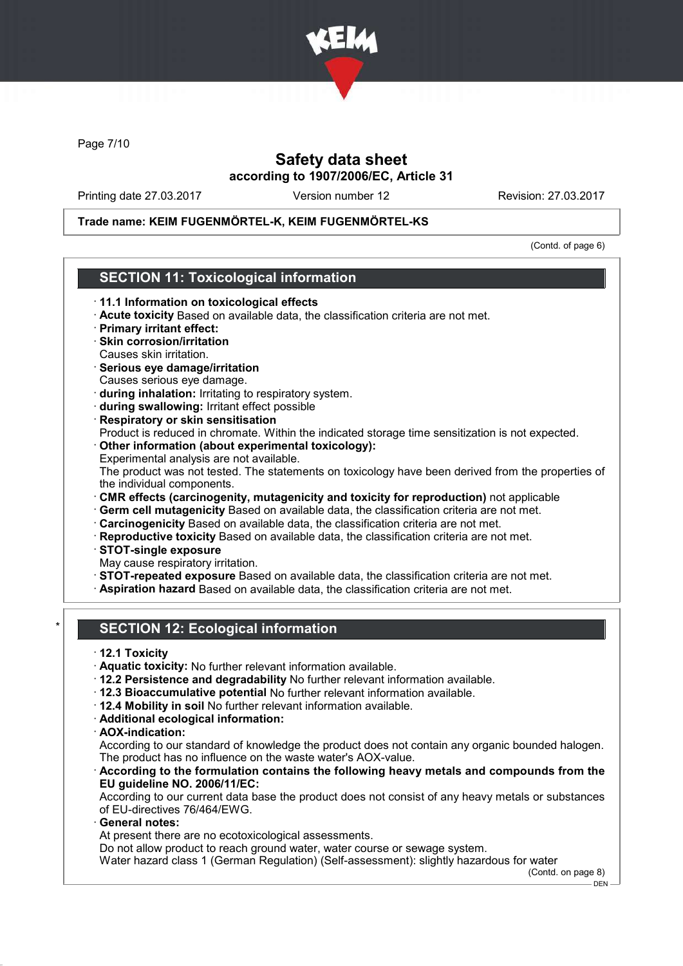

Page 7/10

## Safety data sheet according to 1907/2006/EC, Article 31

Printing date 27.03.2017 Version number 12 Revision: 27.03.2017

### Trade name: KEIM FUGENMÖRTEL-K, KEIM FUGENMÖRTEL-KS

(Contd. of page 6)

## SECTION 11: Toxicological information

- · 11.1 Information on toxicological effects
- · Acute toxicity Based on available data, the classification criteria are not met.
- · Primary irritant effect:
- · Skin corrosion/irritation Causes skin irritation.
- · Serious eye damage/irritation Causes serious eye damage.
- · during inhalation: Irritating to respiratory system.
- · during swallowing: Irritant effect possible
- · Respiratory or skin sensitisation Product is reduced in chromate. Within the indicated storage time sensitization is not expected.
- · Other information (about experimental toxicology): Experimental analysis are not available.

The product was not tested. The statements on toxicology have been derived from the properties of the individual components.

- · CMR effects (carcinogenity, mutagenicity and toxicity for reproduction) not applicable
- · Germ cell mutagenicity Based on available data, the classification criteria are not met.
- · Carcinogenicity Based on available data, the classification criteria are not met.
- · Reproductive toxicity Based on available data, the classification criteria are not met.
- · STOT-single exposure
- May cause respiratory irritation.
- · STOT-repeated exposure Based on available data, the classification criteria are not met.
- · Aspiration hazard Based on available data, the classification criteria are not met.

## **SECTION 12: Ecological information**

- · 12.1 Toxicity
- · Aquatic toxicity: No further relevant information available.
- · 12.2 Persistence and degradability No further relevant information available.
- · 12.3 Bioaccumulative potential No further relevant information available.
- · 12.4 Mobility in soil No further relevant information available.
- · Additional ecological information:
- · AOX-indication:

According to our standard of knowledge the product does not contain any organic bounded halogen. The product has no influence on the waste water's AOX-value.

According to the formulation contains the following heavy metals and compounds from the EU guideline NO. 2006/11/EC:

According to our current data base the product does not consist of any heavy metals or substances of EU-directives 76/464/EWG.

General notes:

At present there are no ecotoxicological assessments.

Do not allow product to reach ground water, water course or sewage system.

Water hazard class 1 (German Regulation) (Self-assessment): slightly hazardous for water

(Contd. on page 8)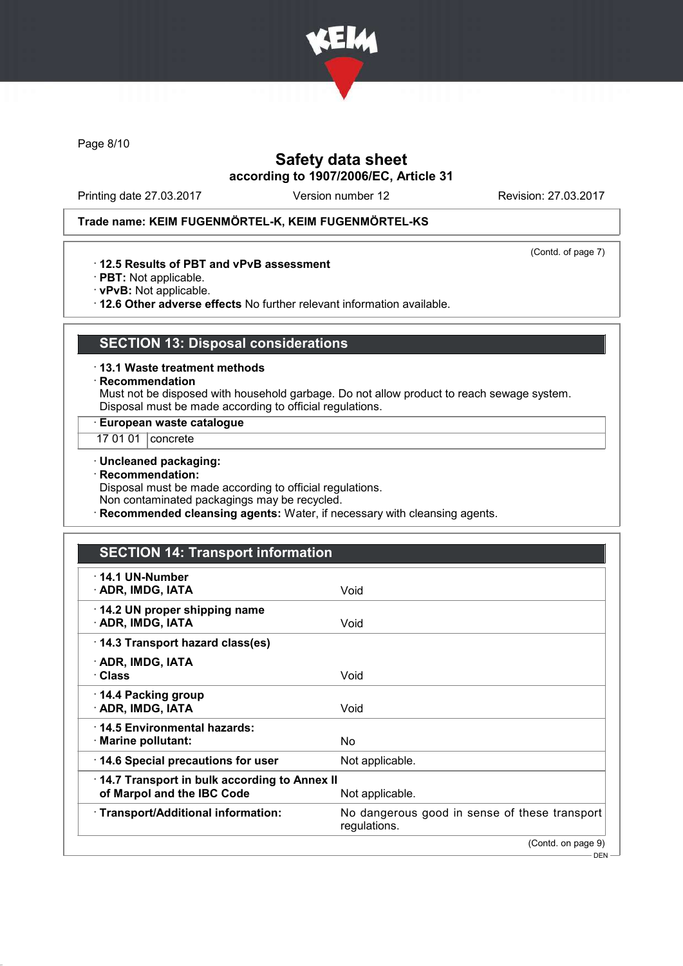

Page 8/10

# Safety data sheet according to 1907/2006/EC, Article 31

Printing date 27.03.2017 Version number 12 Revision: 27.03.2017

(Contd. of page 7)

### Trade name: KEIM FUGENMÖRTEL-K, KEIM FUGENMÖRTEL-KS

· 12.5 Results of PBT and vPvB assessment

- · PBT: Not applicable.
- · vPvB: Not applicable.

· 12.6 Other adverse effects No further relevant information available.

# SECTION 13: Disposal considerations

- · 13.1 Waste treatment methods
- · Recommendation

Must not be disposed with household garbage. Do not allow product to reach sewage system. Disposal must be made according to official regulations.

· European waste catalogue

- 17 01 01 **concrete**
- · Uncleaned packaging:
- · Recommendation:

Disposal must be made according to official regulations.

Non contaminated packagings may be recycled.

· Recommended cleansing agents: Water, if necessary with cleansing agents.

# SECTION 14: Transport information

| $\cdot$ 14.1 UN-Number<br>· ADR, IMDG, IATA                                | Void                                                          |
|----------------------------------------------------------------------------|---------------------------------------------------------------|
| 14.2 UN proper shipping name<br>· ADR, IMDG, IATA                          | Void                                                          |
| 14.3 Transport hazard class(es)                                            |                                                               |
| · ADR, IMDG, IATA<br>∙ Class                                               | Void                                                          |
| ⋅ 14.4 Packing group<br>· ADR, IMDG, IATA                                  | Void                                                          |
| ⋅14.5 Environmental hazards:<br>$\cdot$ Marine pollutant:                  | No.                                                           |
| 14.6 Special precautions for user                                          | Not applicable.                                               |
| 14.7 Transport in bulk according to Annex II<br>of Marpol and the IBC Code | Not applicable.                                               |
| · Transport/Additional information:                                        | No dangerous good in sense of these transport<br>regulations. |
|                                                                            | (Contd. on page 9)                                            |
|                                                                            | — DEN —                                                       |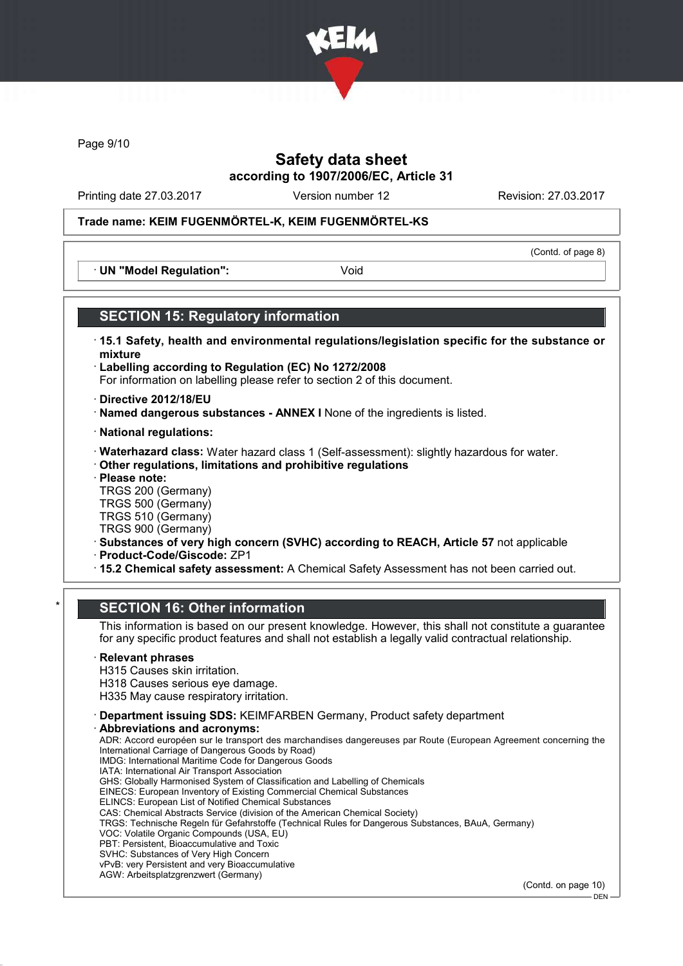

Page 9/10

## Safety data sheet according to 1907/2006/EC, Article 31

Printing date 27.03.2017 Version number 12 Revision: 27.03.2017

(Contd. of page 8)

### Trade name: KEIM FUGENMÖRTEL-K, KEIM FUGENMÖRTEL-KS

· UN "Model Regulation": Void

### SECTION 15: Regulatory information

- · 15.1 Safety, health and environmental regulations/legislation specific for the substance or mixture
- · Labelling according to Regulation (EC) No 1272/2008 For information on labelling please refer to section 2 of this document.
- · Directive 2012/18/EU
- · Named dangerous substances ANNEX I None of the ingredients is listed.
- · National regulations:
- · Waterhazard class: Water hazard class 1 (Self-assessment): slightly hazardous for water.
- · Other regulations, limitations and prohibitive regulations
- · Please note:

TRGS 200 (Germany) TRGS 500 (Germany) TRGS 510 (Germany)

TRGS 900 (Germany)

- · Substances of very high concern (SVHC) according to REACH, Article 57 not applicable
- · Product-Code/Giscode: ZP1
- · 15.2 Chemical safety assessment: A Chemical Safety Assessment has not been carried out.

### **SECTION 16: Other information**

This information is based on our present knowledge. However, this shall not constitute a guarantee for any specific product features and shall not establish a legally valid contractual relationship.

#### **Relevant phrases**

H315 Causes skin irritation. H318 Causes serious eye damage.

H335 May cause respiratory irritation.

· Department issuing SDS: KEIMFARBEN Germany, Product safety department

Abbreviations and acronyms:

ADR: Accord européen sur le transport des marchandises dangereuses par Route (European Agreement concerning the International Carriage of Dangerous Goods by Road) IMDG: International Maritime Code for Dangerous Goods IATA: International Air Transport Association GHS: Globally Harmonised System of Classification and Labelling of Chemicals EINECS: European Inventory of Existing Commercial Chemical Substances ELINCS: European List of Notified Chemical Substances CAS: Chemical Abstracts Service (division of the American Chemical Society) TRGS: Technische Regeln für Gefahrstoffe (Technical Rules for Dangerous Substances, BAuA, Germany) VOC: Volatile Organic Compounds (USA, EU) PBT: Persistent, Bioaccumulative and Toxic SVHC: Substances of Very High Concern

vPvB: very Persistent and very Bioaccumulative AGW: Arbeitsplatzgrenzwert (Germany)

(Contd. on page 10)

DEN